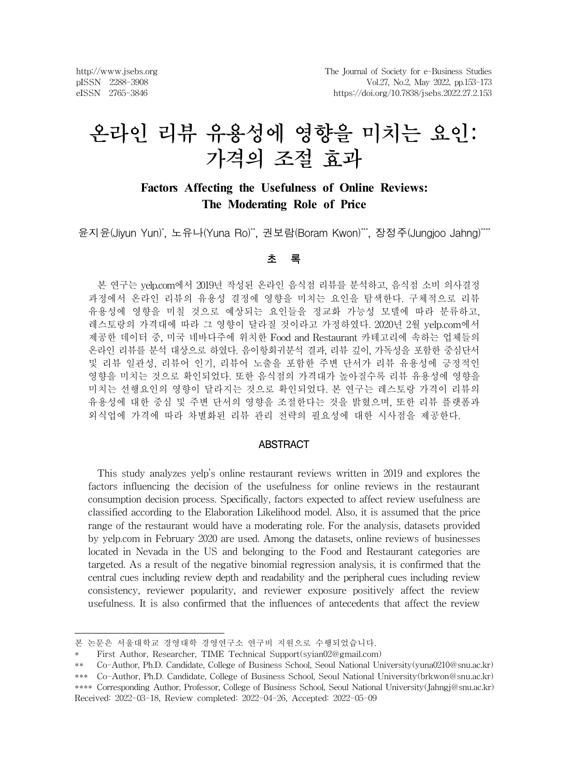http://www.jsebs.org pISSN 2288-3908 eISSN 2765-3846

# 온라인 리뷰 유용성에 영향을 미치는 요인: 가격의 조절 효과

# **Factors Affecting the Usefulness of Online Reviews: The Moderating Role of Price**

윤지윤(Jiyun Yun)\*, 노유나(Yuna Ro)\*\*, 권보람(Boram Kwon)\*\*\*, 장정주(Jungjoo Jahng)\*\*\*\*

#### 초 록

본 연구는 yelp.com에서 2019년 작성된 온라인 음식점 리뷰를 분석하고, 음식점 소비 의사결정 과정에서 온라인 리뷰의 유용성 결정에 영향을 미치는 요인을 탐색한다. 구체적으로 리뷰 유용성에 영향을 미칠 것으로 예상되는 요인들을 정교화 가능성 모델에 따라 분류하고, 레스토랑의 가격대에 따라 그 영향이 달라질 것이라고 가정하였다. 2020년 2월 yelp.com에서 제공한 데이터 중, 미국 네바다주에 위치한 Food and Restaurant 카테고리에 속하는 업체들의 온라인 리뷰를 분석 대상으로 하였다. 음이항회귀분석 결과, 리뷰 깊이, 가독성을 포함한 중심단서 및 리뷰 일관성, 리뷰어 인기, 리뷰어 노출을 포함한 주변 단서가 리뷰 유용성에 긍정적인 영향을 미치는 것으로 확인되었다. 또한 음식점의 가격대가 높아질수록 리뷰 유용성에 영향을 미치는 선행요인의 영향이 달라지는 것으로 확인되었다. 본 연구는 레스토랑 가격이 리뷰의 유용성에 대한 중심 및 주변 단서의 영향을 조절한다는 것을 밝혔으며, 또한 리뷰 플랫폼과 외식업에 가격에 따라 차별화된 리뷰 관리 전략의 필요성에 대한 시사점을 제공한다.

#### ABSTRACT

This study analyzes yelp's online restaurant reviews written in 2019 and explores the factors influencing the decision of the usefulness for online reviews in the restaurant consumption decision process. Specifically, factors expected to affect review usefulness are classified according to the Elaboration Likelihood model. Also, it is assumed that the price range of the restaurant would have a moderating role. For the analysis, datasets provided by yelp.com in February 2020 are used. Among the datasets, online reviews of businesses located in Nevada in the US and belonging to the Food and Restaurant categories are targeted. As a result of the negative binomial regression analysis, it is confirmed that the central cues including review depth and readability and the peripheral cues including review consistency, reviewer popularity, and reviewer exposure positively affect the review usefulness. It is also confirmed that the influences of antecedents that affect the review

본 논문은 서울대학교 경영대학 경영연구소 연구비 지원으로 수행되었습니다.

First Author, Researcher, TIME Technical Support(syian02@gmail.com)

<sup>\*\*</sup> Co-Author, Ph.D. Candidate, College of Business School, Seoul National University(yuna0210@snu.ac.kr)

<sup>\*\*\*</sup> Co-Author, Ph.D. Candidate, College of Business School, Seoul National University(brkwon@snu.ac.kr) \*\*\*\* Corresponding Author, Professor, College of Business School, Seoul National University(Jahngj@snu.ac.kr) Received: 2022-03-18, Review completed: 2022-04-26, Accepted: 2022-05-09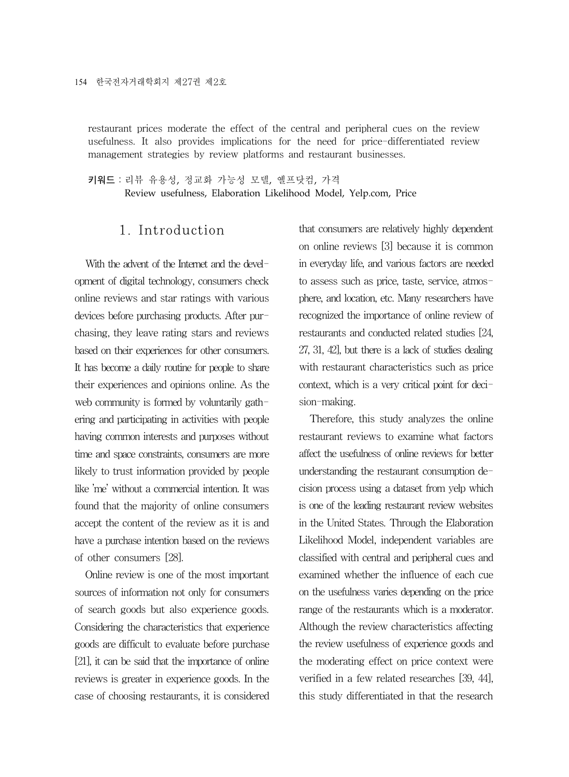restaurant prices moderate the effect of the central and peripheral cues on the review usefulness. It also provides implications for the need for price-differentiated review management strategies by review platforms and restaurant businesses.

키워드:리뷰 유용성, 정교화 가능성 모델, 옐프닷컴, 가격 Review usefulness, Elaboration Likelihood Model, Yelp.com, Price

### 1. Introduction

With the advent of the Internet and the development of digital technology, consumers check online reviews and star ratings with various devices before purchasing products. After purchasing, they leave rating stars and reviews based on their experiences for other consumers. It has become a daily routine for people to share their experiences and opinions online. As the web community is formed by voluntarily gathering and participating in activities with people having common interests and purposes without time and space constraints, consumers are more likely to trust information provided by people like 'me' without a commercial intention. It was found that the majority of online consumers accept the content of the review as it is and have a purchase intention based on the reviews of other consumers [28].

Online review is one of the most important sources of information not only for consumers of search goods but also experience goods. Considering the characteristics that experience goods are difficult to evaluate before purchase [21], it can be said that the importance of online reviews is greater in experience goods. In the case of choosing restaurants, it is considered

that consumers are relatively highly dependent on online reviews [3] because it is common in everyday life, and various factors are needed to assess such as price, taste, service, atmosphere, and location, etc. Many researchers have recognized the importance of online review of restaurants and conducted related studies [24, 27, 31, 42], but there is a lack of studies dealing with restaurant characteristics such as price context, which is a very critical point for decision-making.

Therefore, this study analyzes the online restaurant reviews to examine what factors affect the usefulness of online reviews for better understanding the restaurant consumption decision process using a dataset from yelp which is one of the leading restaurant review websites in the United States. Through the Elaboration Likelihood Model, independent variables are classified with central and peripheral cues and examined whether the influence of each cue on the usefulness varies depending on the price range of the restaurants which is a moderator. Although the review characteristics affecting the review usefulness of experience goods and the moderating effect on price context were verified in a few related researches [39, 44], this study differentiated in that the research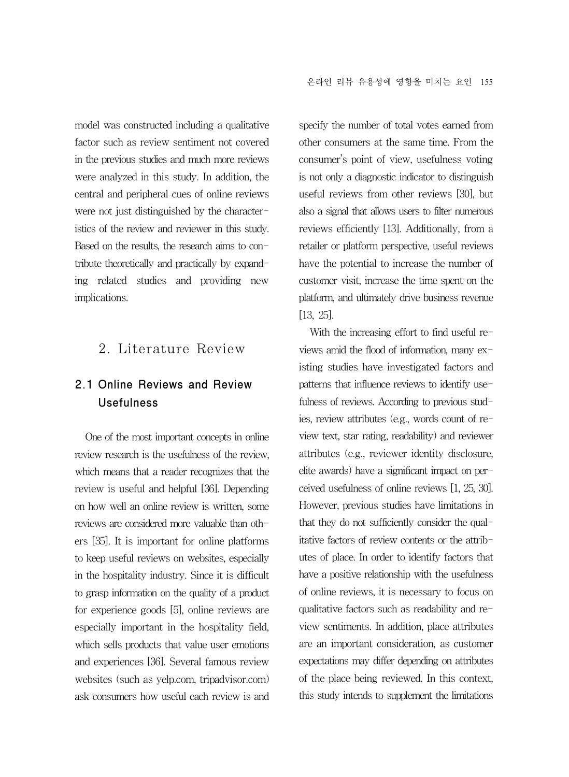model was constructed including a qualitative factor such as review sentiment not covered in the previous studies and much more reviews were analyzed in this study. In addition, the central and peripheral cues of online reviews were not just distinguished by the characteristics of the review and reviewer in this study. Based on the results, the research aims to contribute theoretically and practically by expanding related studies and providing new implications.

# 2. Literature Review

# 2.1 Online Reviews and Review Usefulness

One of the most important concepts in online review research is the usefulness of the review, which means that a reader recognizes that the review is useful and helpful [36]. Depending on how well an online review is written, some reviews are considered more valuable than others [35]. It is important for online platforms to keep useful reviews on websites, especially in the hospitality industry. Since it is difficult to grasp information on the quality of a product for experience goods [5], online reviews are especially important in the hospitality field, which sells products that value user emotions and experiences [36]. Several famous review websites (such as yelp.com, tripadvisor.com) ask consumers how useful each review is and

specify the number of total votes earned from other consumers at the same time. From the consumer's point of view, usefulness voting is not only a diagnostic indicator to distinguish useful reviews from other reviews [30], but also a signal that allows users to filter numerous reviews efficiently [13]. Additionally, from a retailer or platform perspective, useful reviews have the potential to increase the number of customer visit, increase the time spent on the platform, and ultimately drive business revenue [13, 25].

With the increasing effort to find useful reviews amid the flood of information, many existing studies have investigated factors and patterns that influence reviews to identify usefulness of reviews. According to previous studies, review attributes (e.g., words count of review text, star rating, readability) and reviewer attributes (e.g., reviewer identity disclosure, elite awards) have a significant impact on perceived usefulness of online reviews [1, 25, 30]. However, previous studies have limitations in that they do not sufficiently consider the qualitative factors of review contents or the attributes of place. In order to identify factors that have a positive relationship with the usefulness of online reviews, it is necessary to focus on qualitative factors such as readability and review sentiments. In addition, place attributes are an important consideration, as customer expectations may differ depending on attributes of the place being reviewed. In this context, this study intends to supplement the limitations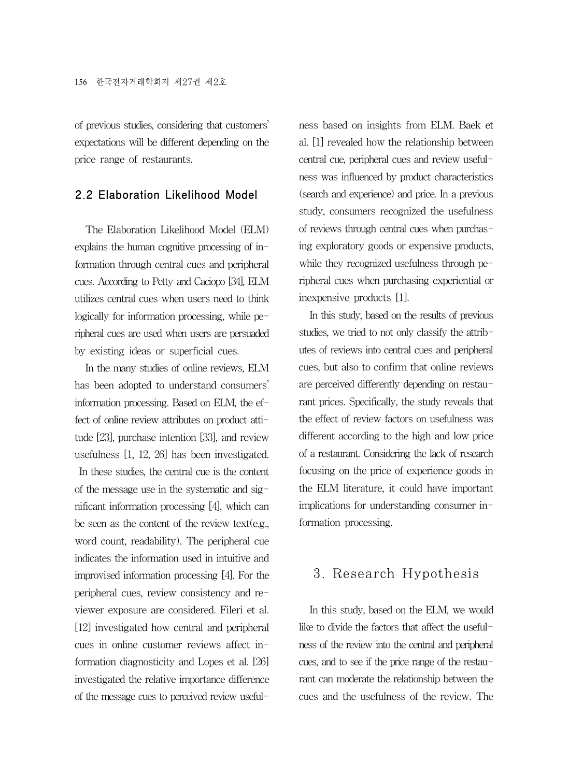of previous studies, considering that customers' expectations will be different depending on the price range of restaurants.

#### 2.2 Elaboration Likelihood Model

The Elaboration Likelihood Model (ELM) explains the human cognitive processing of information through central cues and peripheral cues. According to Petty and Caciopo [34], ELM utilizes central cues when users need to think logically for information processing, while peripheral cues are used when users are persuaded by existing ideas or superficial cues.

In the many studies of online reviews, ELM has been adopted to understand consumers' information processing. Based on ELM, the effect of online review attributes on product attitude [23], purchase intention [33], and review usefulness [1, 12, 26] has been investigated. In these studies, the central cue is the content of the message use in the systematic and significant information processing [4], which can be seen as the content of the review text(e.g., word count, readability). The peripheral cue indicates the information used in intuitive and improvised information processing [4]. For the peripheral cues, review consistency and reviewer exposure are considered. Fileri et al. [12] investigated how central and peripheral cues in online customer reviews affect information diagnosticity and Lopes et al. [26] investigated the relative importance difference of the message cues to perceived review usefulness based on insights from ELM. Baek et al. [1] revealed how the relationship between central cue, peripheral cues and review usefulness was influenced by product characteristics (search and experience) and price. In a previous study, consumers recognized the usefulness of reviews through central cues when purchasing exploratory goods or expensive products, while they recognized usefulness through peripheral cues when purchasing experiential or inexpensive products [1].

In this study, based on the results of previous studies, we tried to not only classify the attributes of reviews into central cues and peripheral cues, but also to confirm that online reviews are perceived differently depending on restaurant prices. Specifically, the study reveals that the effect of review factors on usefulness was different according to the high and low price of a restaurant. Considering the lack of research focusing on the price of experience goods in the ELM literature, it could have important implications for understanding consumer information processing.

# 3. Research Hypothesis

In this study, based on the ELM, we would like to divide the factors that affect the usefulness of the review into the central and peripheral cues, and to see if the price range of the restaurant can moderate the relationship between the cues and the usefulness of the review. The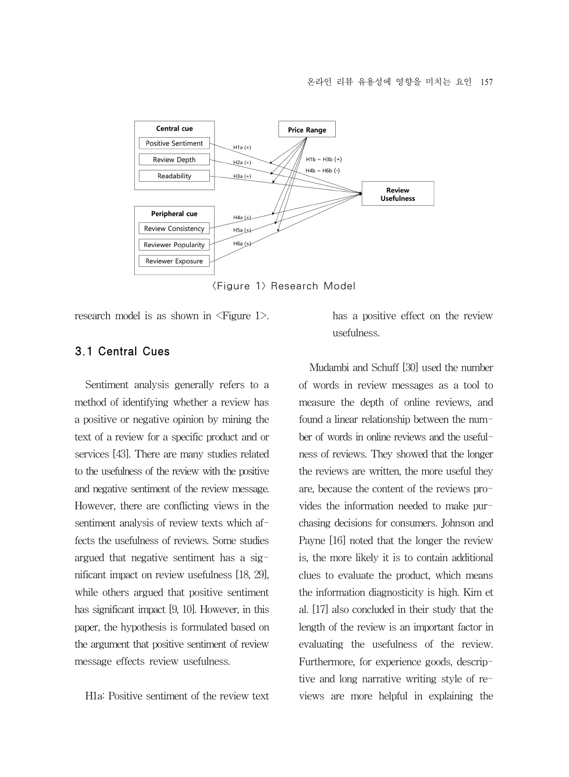

<Figure 1> Research Model

research model is as shown in <Figure 1>.

#### 3.1 Central Cues

Sentiment analysis generally refers to a method of identifying whether a review has a positive or negative opinion by mining the text of a review for a specific product and or services [43]. There are many studies related to the usefulness of the review with the positive and negative sentiment of the review message. However, there are conflicting views in the sentiment analysis of review texts which affects the usefulness of reviews. Some studies argued that negative sentiment has a significant impact on review usefulness [18, 29], while others argued that positive sentiment has significant impact [9, 10]. However, in this paper, the hypothesis is formulated based on the argument that positive sentiment of review message effects review usefulness.

H1a: Positive sentiment of the review text

has a positive effect on the review usefulness.

Mudambi and Schuff [30] used the number of words in review messages as a tool to measure the depth of online reviews, and found a linear relationship between the number of words in online reviews and the usefulness of reviews. They showed that the longer the reviews are written, the more useful they are, because the content of the reviews provides the information needed to make purchasing decisions for consumers. Johnson and Payne [16] noted that the longer the review is, the more likely it is to contain additional clues to evaluate the product, which means the information diagnosticity is high. Kim et al. [17] also concluded in their study that the length of the review is an important factor in evaluating the usefulness of the review. Furthermore, for experience goods, descriptive and long narrative writing style of reviews are more helpful in explaining the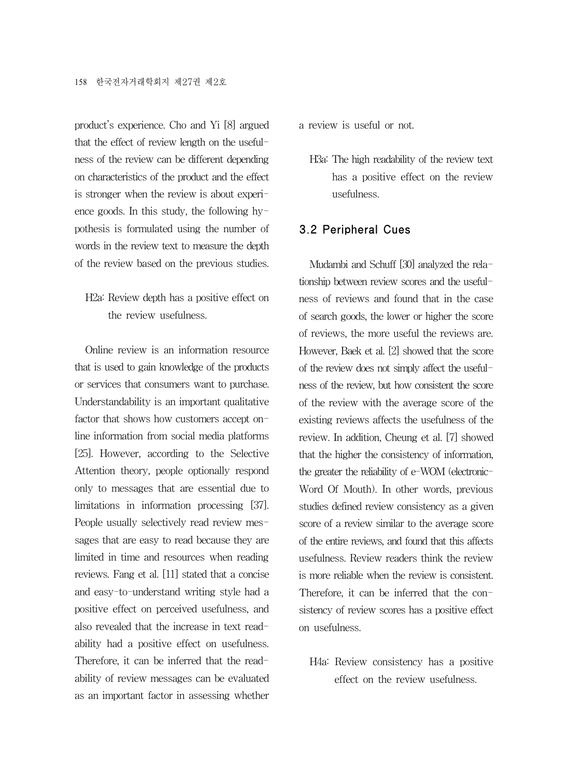product's experience. Cho and Yi [8] argued that the effect of review length on the usefulness of the review can be different depending on characteristics of the product and the effect is stronger when the review is about experience goods. In this study, the following hypothesis is formulated using the number of words in the review text to measure the depth of the review based on the previous studies.

# H2a: Review depth has a positive effect on the review usefulness.

Online review is an information resource that is used to gain knowledge of the products or services that consumers want to purchase. Understandability is an important qualitative factor that shows how customers accept online information from social media platforms [25]. However, according to the Selective Attention theory, people optionally respond only to messages that are essential due to limitations in information processing [37]. People usually selectively read review messages that are easy to read because they are limited in time and resources when reading reviews. Fang et al. [11] stated that a concise and easy-to-understand writing style had a positive effect on perceived usefulness, and also revealed that the increase in text readability had a positive effect on usefulness. Therefore, it can be inferred that the readability of review messages can be evaluated as an important factor in assessing whether

#### a review is useful or not.

H3a: The high readability of the review text has a positive effect on the review usefulness.

#### 3.2 Peripheral Cues

Mudambi and Schuff [30] analyzed the relationship between review scores and the usefulness of reviews and found that in the case of search goods, the lower or higher the score of reviews, the more useful the reviews are. However, Baek et al. [2] showed that the score of the review does not simply affect the usefulness of the review, but how consistent the score of the review with the average score of the existing reviews affects the usefulness of the review. In addition, Cheung et al. [7] showed that the higher the consistency of information, the greater the reliability of e-WOM (electronic-Word Of Mouth). In other words, previous studies defined review consistency as a given score of a review similar to the average score of the entire reviews, and found that this affects usefulness. Review readers think the review is more reliable when the review is consistent. Therefore, it can be inferred that the consistency of review scores has a positive effect on usefulness.

H4a: Review consistency has a positive effect on the review usefulness.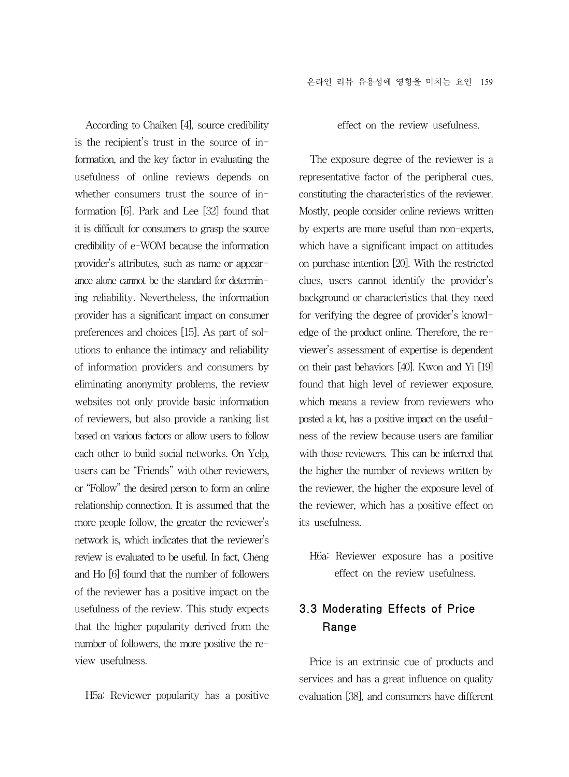According to Chaiken [4], source credibility is the recipient's trust in the source of information, and the key factor in evaluating the usefulness of online reviews depends on whether consumers trust the source of information [6]. Park and Lee [32] found that it is difficult for consumers to grasp the source credibility of e-WOM because the information provider's attributes, such as name or appearance alone cannot be the standard for determining reliability. Nevertheless, the information provider has a significant impact on consumer preferences and choices [15]. As part of solutions to enhance the intimacy and reliability of information providers and consumers by eliminating anonymity problems, the review websites not only provide basic information of reviewers, but also provide a ranking list based on various factors or allow users to follow each other to build social networks. On Yelp, users can be "Friends" with other reviewers, or "Follow" the desired person to form an online relationship connection. It is assumed that the more people follow, the greater the reviewer's network is, which indicates that the reviewer's review is evaluated to be useful. In fact, Cheng and Ho [6] found that the number of followers of the reviewer has a positive impact on the usefulness of the review. This study expects that the higher popularity derived from the number of followers, the more positive the review usefulness.

H5a: Reviewer popularity has a positive

effect on the review usefulness.

The exposure degree of the reviewer is a representative factor of the peripheral cues, constituting the characteristics of the reviewer. Mostly, people consider online reviews written by experts are more useful than non-experts, which have a significant impact on attitudes on purchase intention [20]. With the restricted clues, users cannot identify the provider's background or characteristics that they need for verifying the degree of provider's knowledge of the product online. Therefore, the reviewer's assessment of expertise is dependent on their past behaviors [40]. Kwon and Yi [19] found that high level of reviewer exposure, which means a review from reviewers who posted a lot, has a positive impact on the usefulness of the review because users are familiar with those reviewers. This can be inferred that the higher the number of reviews written by the reviewer, the higher the exposure level of the reviewer, which has a positive effect on its usefulness.

H6a: Reviewer exposure has a positive effect on the review usefulness.

# 3.3 Moderating Effects of Price Range

Price is an extrinsic cue of products and services and has a great influence on quality evaluation [38], and consumers have different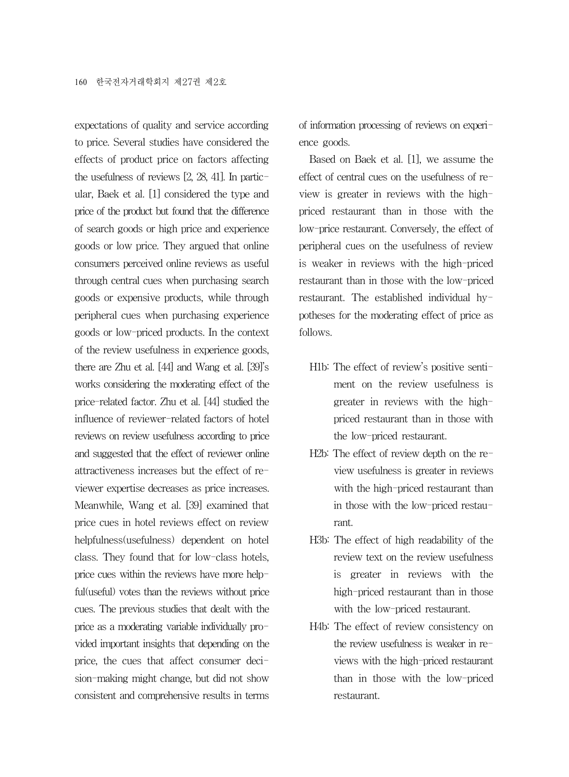expectations of quality and service according to price. Several studies have considered the effects of product price on factors affecting the usefulness of reviews [2, 28, 41]. In particular, Baek et al. [1] considered the type and price of the product but found that the difference of search goods or high price and experience goods or low price. They argued that online consumers perceived online reviews as useful through central cues when purchasing search goods or expensive products, while through peripheral cues when purchasing experience goods or low-priced products. In the context of the review usefulness in experience goods, there are Zhu et al. [44] and Wang et al. [39]'s works considering the moderating effect of the price-related factor. Zhu et al. [44] studied the influence of reviewer-related factors of hotel reviews on review usefulness according to price and suggested that the effect of reviewer online attractiveness increases but the effect of reviewer expertise decreases as price increases. Meanwhile, Wang et al. [39] examined that price cues in hotel reviews effect on review helpfulness(usefulness) dependent on hotel class. They found that for low-class hotels, price cues within the reviews have more helpful(useful) votes than the reviews without price cues. The previous studies that dealt with the price as a moderating variable individually provided important insights that depending on the price, the cues that affect consumer decision-making might change, but did not show consistent and comprehensive results in terms

of information processing of reviews on experience goods.

Based on Baek et al. [1], we assume the effect of central cues on the usefulness of review is greater in reviews with the highpriced restaurant than in those with the low-price restaurant. Conversely, the effect of peripheral cues on the usefulness of review is weaker in reviews with the high-priced restaurant than in those with the low-priced restaurant. The established individual hypotheses for the moderating effect of price as follows.

- H1b: The effect of review's positive sentiment on the review usefulness is greater in reviews with the highpriced restaurant than in those with the low-priced restaurant.
- H2b: The effect of review depth on the review usefulness is greater in reviews with the high-priced restaurant than in those with the low-priced restaurant.
- H3b: The effect of high readability of the review text on the review usefulness is greater in reviews with the high-priced restaurant than in those with the low-priced restaurant.
- H4b: The effect of review consistency on the review usefulness is weaker in reviews with the high-priced restaurant than in those with the low-priced restaurant.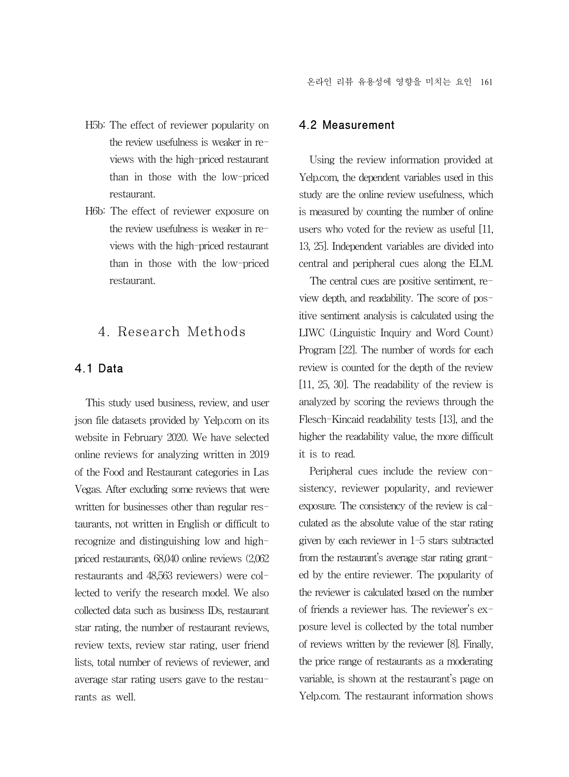- H5b: The effect of reviewer popularity on the review usefulness is weaker in reviews with the high-priced restaurant than in those with the low-priced restaurant.
- H6b: The effect of reviewer exposure on the review usefulness is weaker in reviews with the high-priced restaurant than in those with the low-priced restaurant.

# 4. Research Methods

#### 4.1 Data

This study used business, review, and user json file datasets provided by Yelp.com on its website in February 2020. We have selected online reviews for analyzing written in 2019 of the Food and Restaurant categories in Las Vegas. After excluding some reviews that were written for businesses other than regular restaurants, not written in English or difficult to recognize and distinguishing low and highpriced restaurants, 68,040 online reviews (2,062 restaurants and 48,563 reviewers) were collected to verify the research model. We also collected data such as business IDs, restaurant star rating, the number of restaurant reviews, review texts, review star rating, user friend lists, total number of reviews of reviewer, and average star rating users gave to the restaurants as well.

#### 4.2 Measurement

Using the review information provided at Yelp.com, the dependent variables used in this study are the online review usefulness, which is measured by counting the number of online users who voted for the review as useful [11, 13, 25]. Independent variables are divided into central and peripheral cues along the ELM.

The central cues are positive sentiment, review depth, and readability. The score of positive sentiment analysis is calculated using the LIWC (Linguistic Inquiry and Word Count) Program [22]. The number of words for each review is counted for the depth of the review [11, 25, 30]. The readability of the review is analyzed by scoring the reviews through the Flesch-Kincaid readability tests [13], and the higher the readability value, the more difficult it is to read.

Peripheral cues include the review consistency, reviewer popularity, and reviewer exposure. The consistency of the review is calculated as the absolute value of the star rating given by each reviewer in 1-5 stars subtracted from the restaurant's average star rating granted by the entire reviewer. The popularity of the reviewer is calculated based on the number of friends a reviewer has. The reviewer's exposure level is collected by the total number of reviews written by the reviewer [8]. Finally, the price range of restaurants as a moderating variable, is shown at the restaurant's page on Yelp.com. The restaurant information shows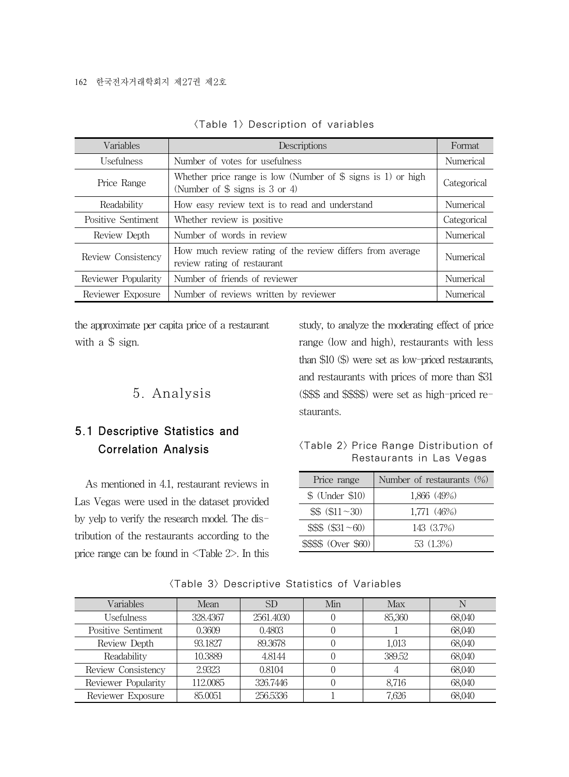| Variables           | Descriptions                                                                                                         | Format      |
|---------------------|----------------------------------------------------------------------------------------------------------------------|-------------|
| <b>Usefulness</b>   | Number of votes for usefulness                                                                                       | Numerical   |
| Price Range         | Whether price range is low (Number of $\frac{1}{2}$ signs is 1) or high<br>(Number of $\frac{6}{3}$ signs is 3 or 4) | Categorical |
| Readability         | How easy review text is to read and understand                                                                       | Numerical   |
| Positive Sentiment  | Whether review is positive                                                                                           | Categorical |
| Review Depth        | Number of words in review                                                                                            | Numerical   |
| Review Consistency  | How much review rating of the review differs from average<br>review rating of restaurant                             | Numerical   |
| Reviewer Popularity | Number of friends of reviewer                                                                                        | Numerical   |
| Reviewer Exposure   | Number of reviews written by reviewer                                                                                | Numerical   |

|  |  | <table 1=""> Description of variables</table> |  |  |
|--|--|-----------------------------------------------|--|--|
|--|--|-----------------------------------------------|--|--|

the approximate per capita price of a restaurant with a \$ sign.

# 5. Analysis

# 5.1 Descriptive Statistics and Correlation Analysis

As mentioned in 4.1, restaurant reviews in Las Vegas were used in the dataset provided by yelp to verify the research model. The distribution of the restaurants according to the price range can be found in <Table 2>. In this study, to analyze the moderating effect of price range (low and high), restaurants with less than \$10 (\$) were set as low-priced restaurants, and restaurants with prices of more than \$31 (\$\$\$ and \$\$\$\$) were set as high-priced restaurants.

#### <Table 2> Price Range Distribution of Restaurants in Las Vegas

| Price range               | Number of restaurants $(\%)$ |
|---------------------------|------------------------------|
| $$$ (Under $$10$ )        | 1,866 (49%)                  |
| $$$$ (\$11 ~30)           | 1,771 (46%)                  |
| $$$ \$\$\$ $$$ (\$31 ~60) | 143 (3.7%)                   |
| \$\$\$\$ (Over \$60)      | 53 (1.3%)                    |

| Variables           | Mean     | SD <sub>.</sub> | Min | Max    |        |
|---------------------|----------|-----------------|-----|--------|--------|
| <b>Usefulness</b>   | 328.4367 | 2561.4030       |     | 85,360 | 68,040 |
| Positive Sentiment  | 0.3609   | 0.4803          |     |        | 68,040 |
| Review Depth        | 93.1827  | 89.3678         |     | 1,013  | 68,040 |
| Readability         | 10.3889  | 4.8144          |     | 389.52 | 68,040 |
| Review Consistency  | 2.9323   | 0.8104          |     |        | 68,040 |
| Reviewer Popularity | 112.0085 | 326.7446        |     | 8,716  | 68,040 |
| Reviewer Exposure   | 85,0051  | 256.5336        |     | 7.626  | 68,040 |

<Table 3> Descriptive Statistics of Variables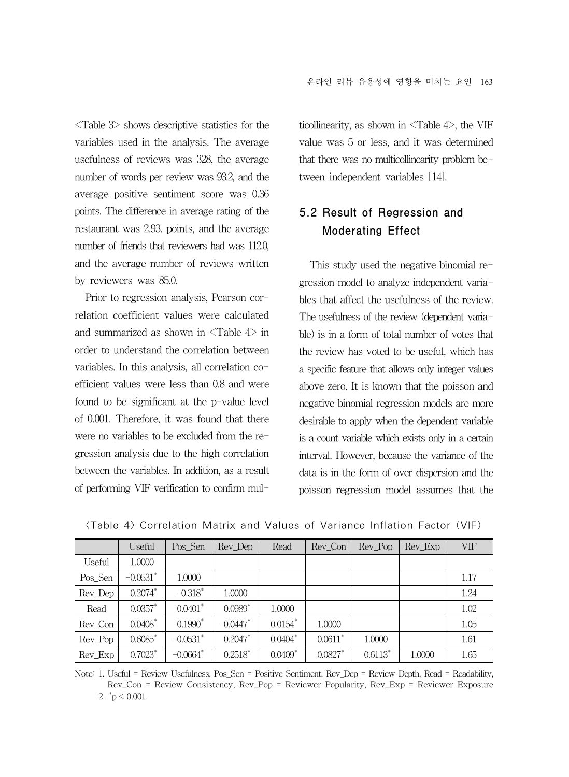<Table 3> shows descriptive statistics for the variables used in the analysis. The average usefulness of reviews was 328, the average number of words per review was 93.2, and the average positive sentiment score was 0.36 points. The difference in average rating of the restaurant was 2.93. points, and the average number of friends that reviewers had was 112.0, and the average number of reviews written by reviewers was 85.0.

Prior to regression analysis, Pearson correlation coefficient values were calculated and summarized as shown in <Table 4> in order to understand the correlation between variables. In this analysis, all correlation coefficient values were less than 0.8 and were found to be significant at the p-value level of 0.001. Therefore, it was found that there were no variables to be excluded from the regression analysis due to the high correlation between the variables. In addition, as a result of performing VIF verification to confirm multicollinearity, as shown in  $\langle \text{Table 4}\rangle$ , the VIF value was 5 or less, and it was determined that there was no multicollinearity problem between independent variables [14].

# 5.2 Result of Regression and Moderating Effect

This study used the negative binomial regression model to analyze independent variables that affect the usefulness of the review. The usefulness of the review (dependent variable) is in a form of total number of votes that the review has voted to be useful, which has a specific feature that allows only integer values above zero. It is known that the poisson and negative binomial regression models are more desirable to apply when the dependent variable is a count variable which exists only in a certain interval. However, because the variance of the data is in the form of over dispersion and the poisson regression model assumes that the

|         | Useful                | Pos Sen                | Rev Dep               | Read                  | Rev Con               | Rev Pop   | Rev Exp | VIF  |
|---------|-----------------------|------------------------|-----------------------|-----------------------|-----------------------|-----------|---------|------|
| Useful  | 1.0000                |                        |                       |                       |                       |           |         |      |
| Pos_Sen | $-0.0531$ *           | 1.0000                 |                       |                       |                       |           |         | 1.17 |
| Rev_Dep | $0.2074$ *            | $-0.318$ <sup>*</sup>  | 1.0000                |                       |                       |           |         | 1.24 |
| Read    | $0.0357$ *            | $0.0401$ *             | $0.0989$ <sup>*</sup> | 1.0000                |                       |           |         | 1.02 |
| Rev Con | $0.0408$ <sup>*</sup> | $0.1990*$              | $-0.0447$ *           | $0.0154$ *            | 1.0000                |           |         | 1.05 |
| Rev_Pop | $0.6085$ *            | $-0.0531$ *            | $0.2047$ *            | $0.0404*$             | $0.0611$ <sup>*</sup> | 1.0000    |         | 1.61 |
| Rev_Exp | $0.7023$ <sup>*</sup> | $-0.0664$ <sup>*</sup> | $0.2518$ *            | $0.0409$ <sup>*</sup> | $0.0827$ *            | $0.6113*$ | 1.0000  | 1.65 |

<Table 4> Correlation Matrix and Values of Variance Inflation Factor (VIF)

Note: 1. Useful = Review Usefulness, Pos\_Sen = Positive Sentiment, Rev\_Dep = Review Depth, Read = Readability, Rev\_Con = Review Consistency, Rev\_Pop = Reviewer Popularity, Rev\_Exp = Reviewer Exposure 2.  $\mathrm{p} < 0.001$ .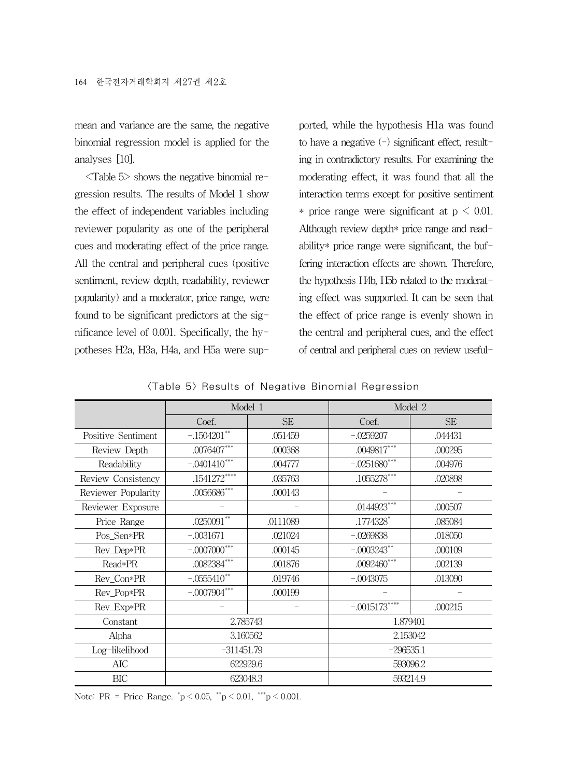mean and variance are the same, the negative binomial regression model is applied for the analyses [10].

<Table 5> shows the negative binomial regression results. The results of Model 1 show the effect of independent variables including reviewer popularity as one of the peripheral cues and moderating effect of the price range. All the central and peripheral cues (positive sentiment, review depth, readability, reviewer popularity) and a moderator, price range, were found to be significant predictors at the significance level of 0.001. Specifically, the hypotheses H2a, H3a, H4a, and H5a were supported, while the hypothesis H1a was found to have a negative  $(-)$  significant effect, resulting in contradictory results. For examining the moderating effect, it was found that all the interaction terms except for positive sentiment \* price range were significant at  $p \leq 0.01$ . Although review depth\* price range and readability\* price range were significant, the buffering interaction effects are shown. Therefore, the hypothesis H4b, H5b related to the moderating effect was supported. It can be seen that the effect of price range is evenly shown in the central and peripheral cues, and the effect of central and peripheral cues on review useful-

<Table 5> Results of Negative Binomial Regression

|                     | Model 1              |           | Model 2        |           |  |  |  |
|---------------------|----------------------|-----------|----------------|-----------|--|--|--|
|                     | Coef.                | <b>SE</b> | Coef.          | <b>SE</b> |  |  |  |
| Positive Sentiment  | $-.1504201**$        | .051459   | $-.0259207$    | .044431   |  |  |  |
| Review Depth        | $.0076407***$        | .000368   | $.0049817***$  | .000295   |  |  |  |
| Readability         | $-.0401410***$       | .004777   | $-.0251680***$ | .004976   |  |  |  |
| Review Consistency  | .1541272****         | .035763   | $.1055278***$  | .020898   |  |  |  |
| Reviewer Popularity | $.0056686***$        | .000143   |                |           |  |  |  |
| Reviewer Exposure   |                      |           | $.0144923***$  | .000507   |  |  |  |
| Price Range         | $.0250091***$        | .0111089  | .1774328*      | .085084   |  |  |  |
| Pos_Sen*PR          | $-.0031671$          | .021024   | $-.0269838$    | .018050   |  |  |  |
| Rev Dep*PR          | $-.0007000$ ***      | .000145   | $-.0003243**$  | .000109   |  |  |  |
| Read*PR             | $.0082384***$        | .001876   | $.0092460***$  | .002139   |  |  |  |
| Rev_Con*PR          | $-.0555410**$        | .019746   | $-.0043075$    | .013090   |  |  |  |
| Rev_Pop*PR          | $-.0007904***$       | .000199   |                |           |  |  |  |
| Rev_Exp*PR          |                      |           | $-.0015173***$ | .000215   |  |  |  |
| Constant            | 2.785743             |           | 1.879401       |           |  |  |  |
| Alpha               | 3.160562             |           | 2.153042       |           |  |  |  |
| Log-likelihood      | $-311451.79$         |           | $-296535.1$    |           |  |  |  |
| AIC                 | 622929.6<br>593096.2 |           |                |           |  |  |  |
| BIC                 | 623048.3             |           | 593214.9       |           |  |  |  |

Note: PR = Price Range.  $\degree{p}$  < 0.05,  $\degree{p}$  < 0.01,  $\degree{p}$  < 0.001.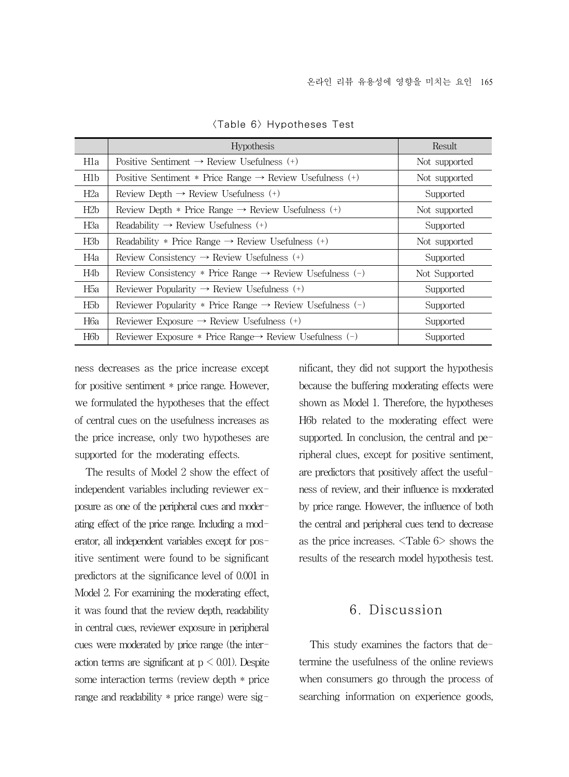|                  | <b>Hypothesis</b>                                                     | Result        |
|------------------|-----------------------------------------------------------------------|---------------|
| Hla              | Positive Sentiment $\rightarrow$ Review Usefulness (+)                | Not supported |
| H1b              | Positive Sentiment * Price Range $\rightarrow$ Review Usefulness (+)  | Not supported |
| H <sub>2</sub> a | Review Depth $\rightarrow$ Review Usefulness (+)                      | Supported     |
| H2b              | Review Depth * Price Range $\rightarrow$ Review Usefulness (+)        | Not supported |
| H3a              | Readability $\rightarrow$ Review Usefulness (+)                       | Supported     |
| H3b              | Readability * Price Range $\rightarrow$ Review Usefulness (+)         | Not supported |
| H4a              | Review Consistency $\rightarrow$ Review Usefulness (+)                | Supported     |
| H4b              | Review Consistency * Price Range $\rightarrow$ Review Usefulness (-)  | Not Supported |
| Н5а              | Reviewer Popularity $\rightarrow$ Review Usefulness (+)               | Supported     |
| H <sub>5</sub> b | Reviewer Popularity * Price Range $\rightarrow$ Review Usefulness (-) | Supported     |
| H6a              | Reviewer Exposure $\rightarrow$ Review Usefulness (+)                 | Supported     |
| H <sub>6</sub> b | Reviewer Exposure * Price Range $\rightarrow$ Review Usefulness (-)   | Supported     |

<Table 6> Hypotheses Test

ness decreases as the price increase except for positive sentiment \* price range. However, we formulated the hypotheses that the effect of central cues on the usefulness increases as the price increase, only two hypotheses are supported for the moderating effects.

The results of Model 2 show the effect of independent variables including reviewer exposure as one of the peripheral cues and moderating effect of the price range. Including a moderator, all independent variables except for positive sentiment were found to be significant predictors at the significance level of 0.001 in Model 2. For examining the moderating effect, it was found that the review depth, readability in central cues, reviewer exposure in peripheral cues were moderated by price range (the interaction terms are significant at  $p < 0.01$ ). Despite some interaction terms (review depth \* price range and readability \* price range) were significant, they did not support the hypothesis because the buffering moderating effects were shown as Model 1. Therefore, the hypotheses H6b related to the moderating effect were supported. In conclusion, the central and peripheral clues, except for positive sentiment, are predictors that positively affect the usefulness of review, and their influence is moderated by price range. However, the influence of both the central and peripheral cues tend to decrease as the price increases. <Table 6> shows the results of the research model hypothesis test.

### 6. Discussion

This study examines the factors that determine the usefulness of the online reviews when consumers go through the process of searching information on experience goods,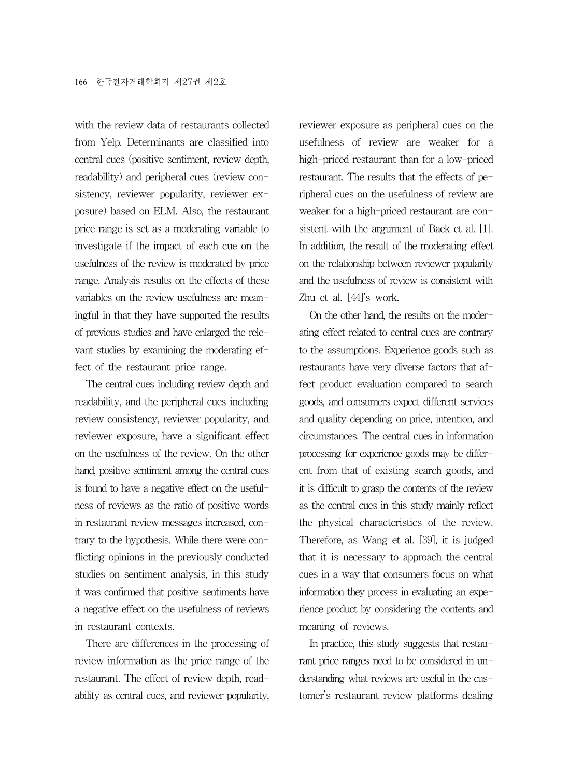with the review data of restaurants collected from Yelp. Determinants are classified into central cues (positive sentiment, review depth, readability) and peripheral cues (review consistency, reviewer popularity, reviewer exposure) based on ELM. Also, the restaurant price range is set as a moderating variable to investigate if the impact of each cue on the usefulness of the review is moderated by price range. Analysis results on the effects of these variables on the review usefulness are meaningful in that they have supported the results of previous studies and have enlarged the relevant studies by examining the moderating effect of the restaurant price range.

The central cues including review depth and readability, and the peripheral cues including review consistency, reviewer popularity, and reviewer exposure, have a significant effect on the usefulness of the review. On the other hand, positive sentiment among the central cues is found to have a negative effect on the usefulness of reviews as the ratio of positive words in restaurant review messages increased, contrary to the hypothesis. While there were conflicting opinions in the previously conducted studies on sentiment analysis, in this study it was confirmed that positive sentiments have a negative effect on the usefulness of reviews in restaurant contexts.

There are differences in the processing of review information as the price range of the restaurant. The effect of review depth, readability as central cues, and reviewer popularity, reviewer exposure as peripheral cues on the usefulness of review are weaker for a high-priced restaurant than for a low-priced restaurant. The results that the effects of peripheral cues on the usefulness of review are weaker for a high-priced restaurant are consistent with the argument of Baek et al. [1]. In addition, the result of the moderating effect on the relationship between reviewer popularity and the usefulness of review is consistent with Zhu et al. [44]'s work.

On the other hand, the results on the moderating effect related to central cues are contrary to the assumptions. Experience goods such as restaurants have very diverse factors that affect product evaluation compared to search goods, and consumers expect different services and quality depending on price, intention, and circumstances. The central cues in information processing for experience goods may be different from that of existing search goods, and it is difficult to grasp the contents of the review as the central cues in this study mainly reflect the physical characteristics of the review. Therefore, as Wang et al. [39], it is judged that it is necessary to approach the central cues in a way that consumers focus on what information they process in evaluating an experience product by considering the contents and meaning of reviews.

In practice, this study suggests that restaurant price ranges need to be considered in understanding what reviews are useful in the customer's restaurant review platforms dealing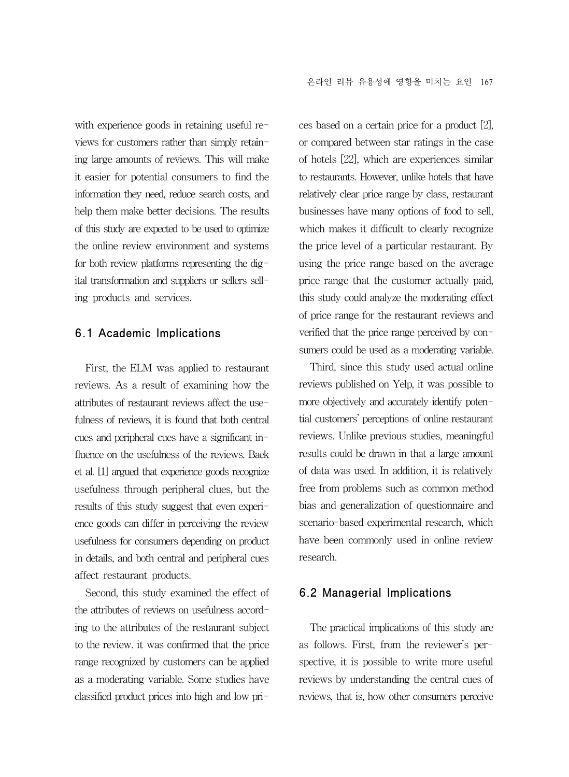with experience goods in retaining useful reviews for customers rather than simply retaining large amounts of reviews. This will make it easier for potential consumers to find the information they need, reduce search costs, and help them make better decisions. The results of this study are expected to be used to optimize the online review environment and systems for both review platforms representing the digital transformation and suppliers or sellers selling products and services.

#### 6.1 Academic Implications

First, the ELM was applied to restaurant reviews. As a result of examining how the attributes of restaurant reviews affect the usefulness of reviews, it is found that both central cues and peripheral cues have a significant influence on the usefulness of the reviews. Baek et al. [1] argued that experience goods recognize usefulness through peripheral clues, but the results of this study suggest that even experience goods can differ in perceiving the review usefulness for consumers depending on product in details, and both central and peripheral cues affect restaurant products.

Second, this study examined the effect of the attributes of reviews on usefulness according to the attributes of the restaurant subject to the review. it was confirmed that the price range recognized by customers can be applied as a moderating variable. Some studies have classified product prices into high and low prices based on a certain price for a product [2], or compared between star ratings in the case of hotels [22], which are experiences similar to restaurants. However, unlike hotels that have relatively clear price range by class, restaurant businesses have many options of food to sell, which makes it difficult to clearly recognize the price level of a particular restaurant. By using the price range based on the average price range that the customer actually paid, this study could analyze the moderating effect of price range for the restaurant reviews and verified that the price range perceived by consumers could be used as a moderating variable.

Third, since this study used actual online reviews published on Yelp, it was possible to more objectively and accurately identify potential customers' perceptions of online restaurant reviews. Unlike previous studies, meaningful results could be drawn in that a large amount of data was used. In addition, it is relatively free from problems such as common method bias and generalization of questionnaire and scenario-based experimental research, which have been commonly used in online review research.

#### 6.2 Managerial Implications

The practical implications of this study are as follows. First, from the reviewer's perspective, it is possible to write more useful reviews by understanding the central cues of reviews, that is, how other consumers perceive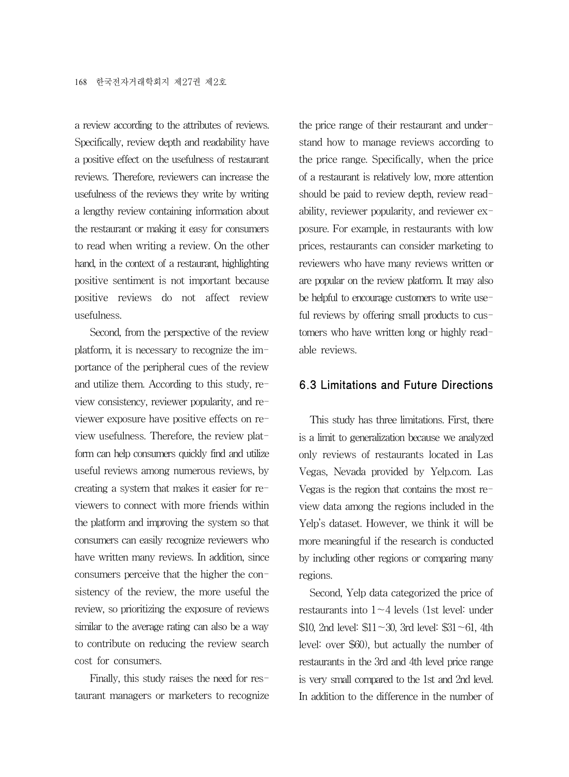a review according to the attributes of reviews. Specifically, review depth and readability have a positive effect on the usefulness of restaurant reviews. Therefore, reviewers can increase the usefulness of the reviews they write by writing a lengthy review containing information about the restaurant or making it easy for consumers to read when writing a review. On the other hand, in the context of a restaurant, highlighting positive sentiment is not important because positive reviews do not affect review usefulness.

Second, from the perspective of the review platform, it is necessary to recognize the importance of the peripheral cues of the review and utilize them. According to this study, review consistency, reviewer popularity, and reviewer exposure have positive effects on review usefulness. Therefore, the review platform can help consumers quickly find and utilize useful reviews among numerous reviews, by creating a system that makes it easier for reviewers to connect with more friends within the platform and improving the system so that consumers can easily recognize reviewers who have written many reviews. In addition, since consumers perceive that the higher the consistency of the review, the more useful the review, so prioritizing the exposure of reviews similar to the average rating can also be a way to contribute on reducing the review search cost for consumers.

Finally, this study raises the need for restaurant managers or marketers to recognize

the price range of their restaurant and understand how to manage reviews according to the price range. Specifically, when the price of a restaurant is relatively low, more attention should be paid to review depth, review readability, reviewer popularity, and reviewer exposure. For example, in restaurants with low prices, restaurants can consider marketing to reviewers who have many reviews written or are popular on the review platform. It may also be helpful to encourage customers to write useful reviews by offering small products to customers who have written long or highly readable reviews.

#### 6.3 Limitations and Future Directions

This study has three limitations. First, there is a limit to generalization because we analyzed only reviews of restaurants located in Las Vegas, Nevada provided by Yelp.com. Las Vegas is the region that contains the most review data among the regions included in the Yelp's dataset. However, we think it will be more meaningful if the research is conducted by including other regions or comparing many regions.

Second, Yelp data categorized the price of restaurants into  $1 - 4$  levels (1st level: under \$10, 2nd level:  $$11~30$ , 3rd level: \$31~61, 4th level: over \$60), but actually the number of restaurants in the 3rd and 4th level price range is very small compared to the 1st and 2nd level. In addition to the difference in the number of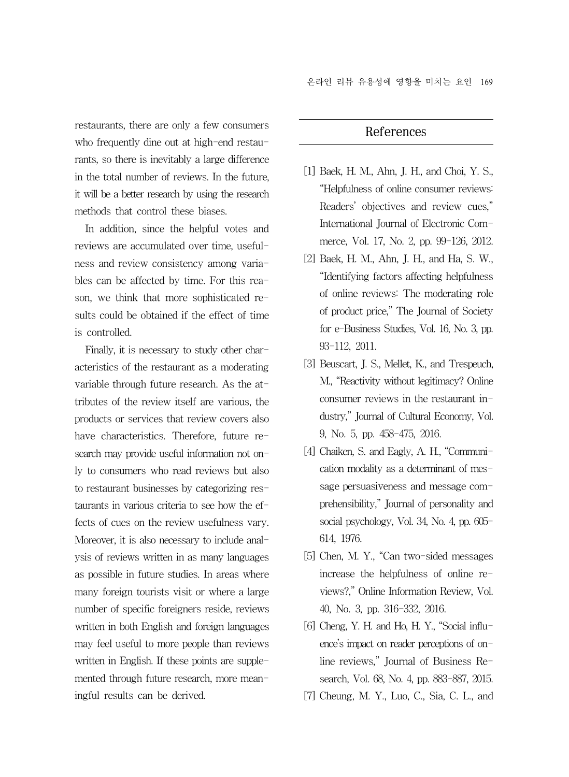온라인 리뷰 유용성에 영향을 미치는 요인 169

restaurants, there are only a few consumers who frequently dine out at high-end restaurants, so there is inevitably a large difference in the total number of reviews. In the future, it will be a better research by using the research methods that control these biases.

In addition, since the helpful votes and reviews are accumulated over time, usefulness and review consistency among variables can be affected by time. For this reason, we think that more sophisticated results could be obtained if the effect of time is controlled.

Finally, it is necessary to study other characteristics of the restaurant as a moderating variable through future research. As the attributes of the review itself are various, the products or services that review covers also have characteristics. Therefore, future research may provide useful information not only to consumers who read reviews but also to restaurant businesses by categorizing restaurants in various criteria to see how the effects of cues on the review usefulness vary. Moreover, it is also necessary to include analysis of reviews written in as many languages as possible in future studies. In areas where many foreign tourists visit or where a large number of specific foreigners reside, reviews written in both English and foreign languages may feel useful to more people than reviews written in English. If these points are supplemented through future research, more meaningful results can be derived.

# References

- [1] Baek, H. M., Ahn, J. H., and Choi, Y. S., "Helpfulness of online consumer reviews: Readers' objectives and review cues," International Journal of Electronic Commerce, Vol. 17, No. 2, pp. 99-126, 2012.
- [2] Baek, H. M., Ahn, J. H., and Ha, S. W., "Identifying factors affecting helpfulness of online reviews: The moderating role of product price," The Journal of Society for e-Business Studies, Vol. 16, No. 3, pp. 93-112, 2011.
- [3] Beuscart, J. S., Mellet, K., and Trespeuch, M., "Reactivity without legitimacy? Online consumer reviews in the restaurant industry," Journal of Cultural Economy, Vol. 9, No. 5, pp. 458-475, 2016.
- [4] Chaiken, S. and Eagly, A. H., "Communication modality as a determinant of message persuasiveness and message comprehensibility," Journal of personality and social psychology, Vol. 34, No. 4, pp. 605- 614, 1976.
- [5] Chen, M. Y., "Can two-sided messages increase the helpfulness of online reviews?," Online Information Review, Vol. 40, No. 3, pp. 316-332, 2016.
- [6] Cheng, Y. H. and Ho, H. Y., "Social influence's impact on reader perceptions of online reviews," Journal of Business Research, Vol. 68, No. 4, pp. 883-887, 2015.
- [7] Cheung, M. Y., Luo, C., Sia, C. L., and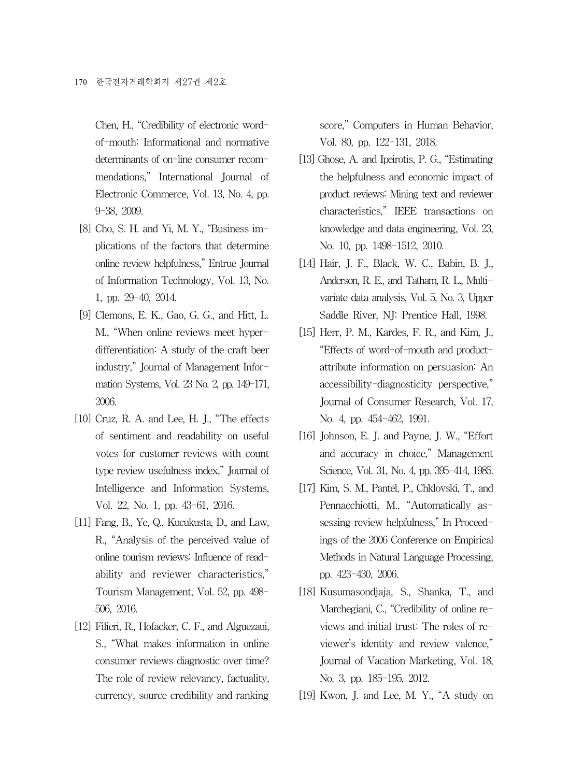Chen, H., "Credibility of electronic wordof-mouth: Informational and normative determinants of on-line consumer recommendations," International Journal of Electronic Commerce, Vol. 13, No. 4, pp. 9-38, 2009.

- [8] Cho, S. H. and Yi, M. Y., "Business implications of the factors that determine online review helpfulness," Entrue Journal of Information Technology, Vol. 13, No. 1, pp. 29-40, 2014.
- [9] Clemons, E. K., Gao, G. G., and Hitt, L. M., "When online reviews meet hyperdifferentiation: A study of the craft beer industry," Journal of Management Information Systems, Vol. 23 No. 2, pp. 149-171, 2006.
- [10] Cruz, R. A. and Lee, H. J., "The effects of sentiment and readability on useful votes for customer reviews with count type review usefulness index," Journal of Intelligence and Information Systems, Vol. 22, No. 1, pp. 43-61, 2016.
- [11] Fang, B., Ye, Q., Kucukusta, D., and Law, R., "Analysis of the perceived value of online tourism reviews: Influence of readability and reviewer characteristics," Tourism Management, Vol. 52, pp. 498- 506, 2016.
- [12] Filieri, R., Hofacker, C. F., and Alguezaui, S., "What makes information in online consumer reviews diagnostic over time? The role of review relevancy, factuality, currency, source credibility and ranking

score," Computers in Human Behavior, Vol. 80, pp. 122-131, 2018.

- [13] Ghose, A. and Ipeirotis, P. G., "Estimating the helpfulness and economic impact of product reviews: Mining text and reviewer characteristics," IEEE transactions on knowledge and data engineering, Vol. 23, No. 10, pp. 1498-1512, 2010.
- [14] Hair, J. F., Black, W. C., Babin, B. J., Anderson, R. E., and Tatham, R. L., Multivariate data analysis, Vol. 5, No. 3, Upper Saddle River, NJ: Prentice Hall, 1998.
- [15] Herr, P. M., Kardes, F. R., and Kim, J., "Effects of word-of-mouth and productattribute information on persuasion: An accessibility-diagnosticity perspective," Journal of Consumer Research, Vol. 17, No. 4, pp. 454-462, 1991.
- [16] Johnson, E. J. and Payne, J. W., "Effort and accuracy in choice," Management Science, Vol. 31, No. 4, pp. 395-414, 1985.
- [17] Kim, S. M., Pantel, P., Chklovski, T., and Pennacchiotti, M., "Automatically assessing review helpfulness," In Proceedings of the 2006 Conference on Empirical Methods in Natural Language Processing, pp. 423-430, 2006.
- [18] Kusumasondjaja, S., Shanka, T., and Marchegiani, C., "Credibility of online reviews and initial trust: The roles of reviewer's identity and review valence," Journal of Vacation Marketing, Vol. 18, No. 3, pp. 185-195, 2012.
- [19] Kwon, J. and Lee, M. Y., "A study on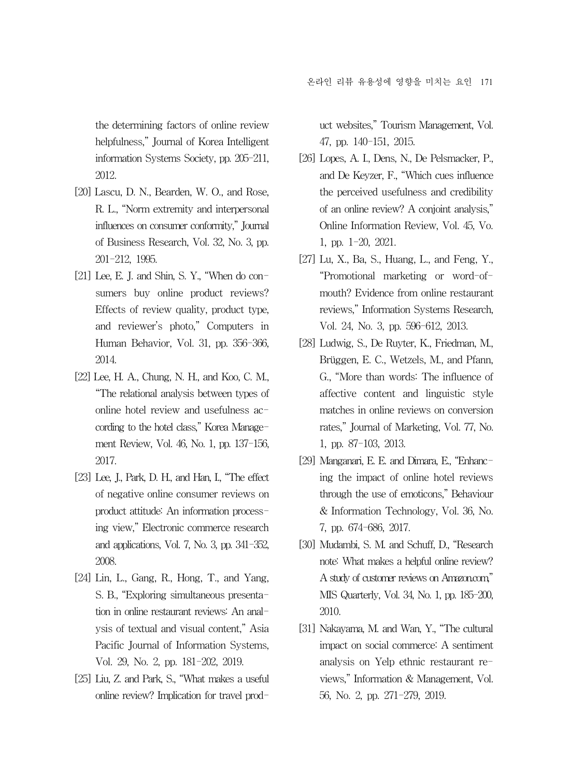the determining factors of online review helpfulness," Journal of Korea Intelligent information Systems Society, pp. 205-211, 2012.

- [20] Lascu, D. N., Bearden, W. O., and Rose, R. L., "Norm extremity and interpersonal influences on consumer conformity," Journal of Business Research, Vol. 32, No. 3, pp. 201-212, 1995.
- [21] Lee, E. J. and Shin, S. Y., "When do consumers buy online product reviews? Effects of review quality, product type, and reviewer's photo," Computers in Human Behavior, Vol. 31, pp. 356-366, 2014.
- [22] Lee, H. A., Chung, N. H., and Koo, C. M., "The relational analysis between types of online hotel review and usefulness according to the hotel class," Korea Management Review, Vol. 46, No. 1, pp. 137-156, 2017.
- [23] Lee, J., Park, D. H., and Han, I., "The effect of negative online consumer reviews on product attitude: An information processing view," Electronic commerce research and applications, Vol. 7, No. 3, pp. 341-352, 2008.
- [24] Lin, L., Gang, R., Hong, T., and Yang, S. B., "Exploring simultaneous presentation in online restaurant reviews: An analysis of textual and visual content," Asia Pacific Journal of Information Systems, Vol. 29, No. 2, pp. 181-202, 2019.
- [25] Liu, Z. and Park, S., "What makes a useful online review? Implication for travel prod-

uct websites," Tourism Management, Vol. 47, pp. 140-151, 2015.

- [26] Lopes, A. I., Dens, N., De Pelsmacker, P., and De Keyzer, F., "Which cues influence the perceived usefulness and credibility of an online review? A conjoint analysis," Online Information Review, Vol. 45, Vo. 1, pp. 1-20, 2021.
- [27] Lu, X., Ba, S., Huang, L., and Feng, Y., "Promotional marketing or word-ofmouth? Evidence from online restaurant reviews," Information Systems Research, Vol. 24, No. 3, pp. 596-612, 2013.
- [28] Ludwig, S., De Ruyter, K., Friedman, M., Brüggen, E. C., Wetzels, M., and Pfann, G., "More than words: The influence of affective content and linguistic style matches in online reviews on conversion rates," Journal of Marketing, Vol. 77, No. 1, pp. 87-103, 2013.
- [29] Manganari, E. E. and Dimara, E., "Enhancing the impact of online hotel reviews through the use of emoticons," Behaviour & Information Technology, Vol. 36, No. 7, pp. 674-686, 2017.
- [30] Mudambi, S. M. and Schuff, D., "Research note: What makes a helpful online review? A study of customer reviews on Amazon.com," MIS Quarterly, Vol. 34, No. 1, pp. 185-200, 2010.
- [31] Nakayama, M. and Wan, Y., "The cultural impact on social commerce: A sentiment analysis on Yelp ethnic restaurant reviews," Information & Management, Vol. 56, No. 2, pp. 271-279, 2019.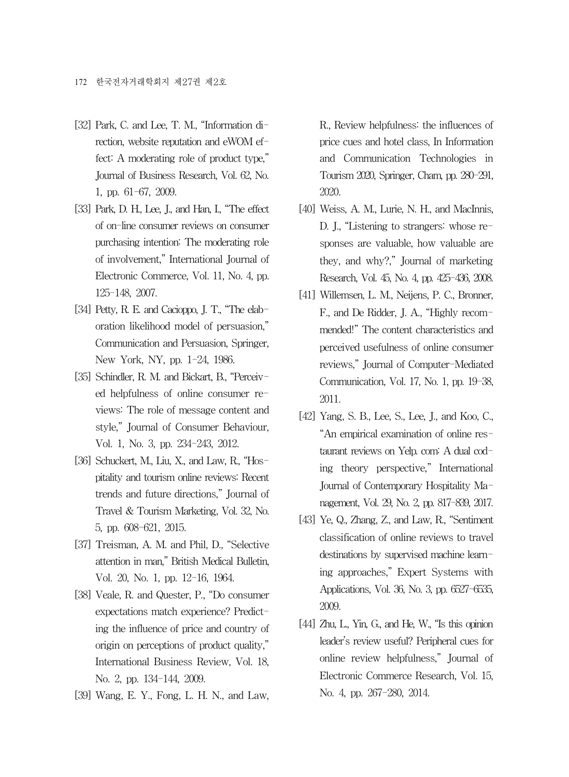- [32] Park, C. and Lee, T. M., "Information direction, website reputation and eWOM effect: A moderating role of product type," Journal of Business Research, Vol. 62, No. 1, pp. 61-67, 2009.
- [33] Park, D. H., Lee, J., and Han, I., "The effect of on-line consumer reviews on consumer purchasing intention: The moderating role of involvement," International Journal of Electronic Commerce, Vol. 11, No. 4, pp. 125-148, 2007.
- [34] Petty, R. E. and Cacioppo, J. T., "The elaboration likelihood model of persuasion," Communication and Persuasion, Springer, New York, NY, pp. 1-24, 1986.
- [35] Schindler, R. M. and Bickart, B., "Perceived helpfulness of online consumer reviews: The role of message content and style," Journal of Consumer Behaviour, Vol. 1, No. 3, pp. 234-243, 2012.
- [36] Schuckert, M., Liu, X., and Law, R., "Hospitality and tourism online reviews: Recent trends and future directions," Journal of Travel & Tourism Marketing, Vol. 32, No. 5, pp. 608-621, 2015.
- [37] Treisman, A. M. and Phil, D., "Selective attention in man," British Medical Bulletin, Vol. 20, No. 1, pp. 12-16, 1964.
- [38] Veale, R. and Quester, P., "Do consumer expectations match experience? Predicting the influence of price and country of origin on perceptions of product quality," International Business Review, Vol. 18, No. 2, pp. 134-144, 2009.
- [39] Wang, E. Y., Fong, L. H. N., and Law,

R., Review helpfulness: the influences of price cues and hotel class, In Information and Communication Technologies in Tourism 2020, Springer, Cham, pp. 280-291, 2020.

- [40] Weiss, A. M., Lurie, N. H., and MacInnis, D. J., "Listening to strangers: whose responses are valuable, how valuable are they, and why?," Journal of marketing Research, Vol. 45, No. 4, pp. 425-436, 2008.
- [41] Willemsen, L. M., Neijens, P. C., Bronner, F., and De Ridder, J. A., "Highly recommended!" The content characteristics and perceived usefulness of online consumer reviews," Journal of Computer-Mediated Communication, Vol. 17, No. 1, pp. 19-38, 2011.
- [42] Yang, S. B., Lee, S., Lee, J., and Koo, C., "An empirical examination of online restaurant reviews on Yelp. com: A dual coding theory perspective," International Journal of Contemporary Hospitality Management, Vol. 29, No. 2, pp. 817-839, 2017.
- [43] Ye, Q., Zhang, Z., and Law, R., "Sentiment classification of online reviews to travel destinations by supervised machine learning approaches," Expert Systems with Applications, Vol. 36, No. 3, pp. 6527-6535, 2009.
- [44] Zhu, L., Yin, G., and He, W., "Is this opinion leader's review useful? Peripheral cues for online review helpfulness," Journal of Electronic Commerce Research, Vol. 15, No. 4, pp. 267-280, 2014.